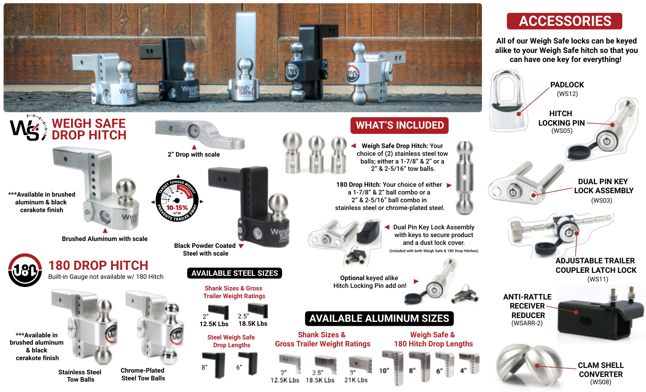



## Built-in Gauge not available w/ 180 Hitch

**\*\*\*Available in brushed aluminum & black cerakote finish**

> **Stainless Steel Tow Balls**

**Chrome-Plated Steel Tow Balls**



 $8"$ 

**Drop Lengths**

**Shank Sizes & Gross Trailer Weight Ratings AVAILABLE ALUMINUM SIZES**

12.5K Lbs



18.5K Lbs

**Weigh Safe & 180 Hitch Drop Lengths**

**Optional** keyed alike Hitch Locking Pin add on!

21K Lbs



## **ACCESSORIES**

**All of our Weigh Safe locks can be keyed alike to your Weigh Safe hitch so that you can have one key for everything!**